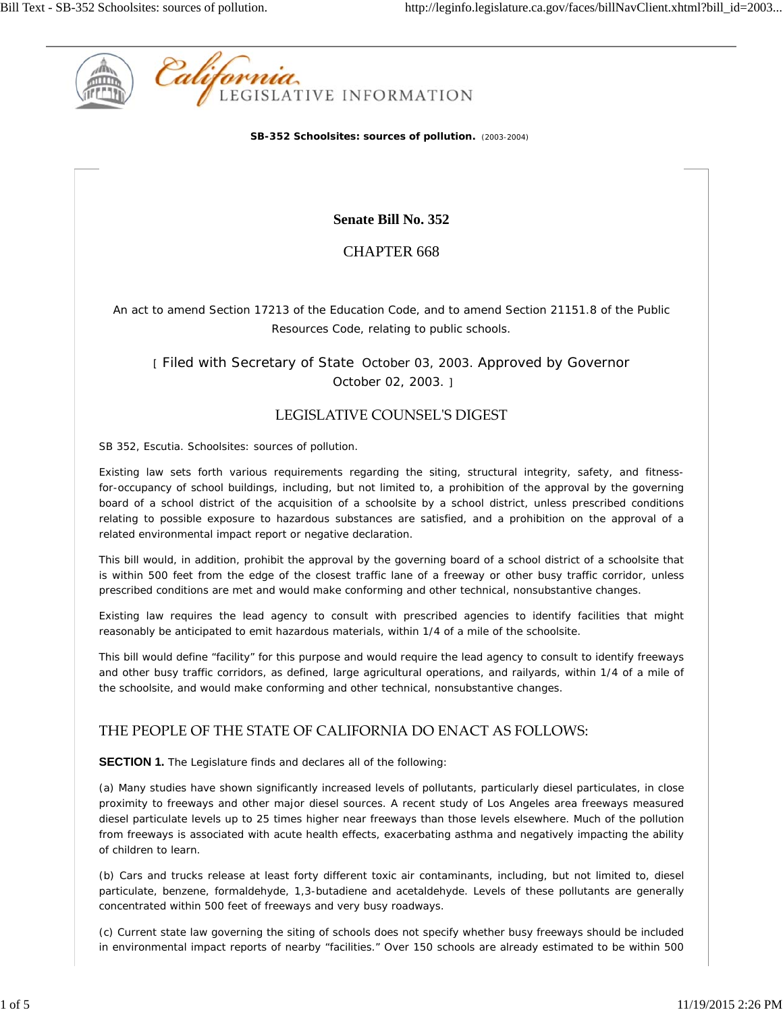

**SB-352 Schoolsites: sources of pollution.** (2003-2004)

**Senate Bill No. 352**

CHAPTER 668

An act to amend Section 17213 of the Education Code, and to amend Section 21151.8 of the Public Resources Code, relating to public schools.

[ Filed with Secretary of State October 03, 2003. Approved by Governor October 02, 2003. ]

## LEGISLATIVE COUNSELʹS DIGEST

SB 352, Escutia. Schoolsites: sources of pollution.

Existing law sets forth various requirements regarding the siting, structural integrity, safety, and fitnessfor-occupancy of school buildings, including, but not limited to, a prohibition of the approval by the governing board of a school district of the acquisition of a schoolsite by a school district, unless prescribed conditions relating to possible exposure to hazardous substances are satisfied, and a prohibition on the approval of a related environmental impact report or negative declaration.

This bill would, in addition, prohibit the approval by the governing board of a school district of a schoolsite that is within 500 feet from the edge of the closest traffic lane of a freeway or other busy traffic corridor, unless prescribed conditions are met and would make conforming and other technical, nonsubstantive changes.

Existing law requires the lead agency to consult with prescribed agencies to identify facilities that might reasonably be anticipated to emit hazardous materials, within 1/4 of a mile of the schoolsite.

This bill would define "facility" for this purpose and would require the lead agency to consult to identify freeways and other busy traffic corridors, as defined, large agricultural operations, and railyards, within 1/4 of a mile of the schoolsite, and would make conforming and other technical, nonsubstantive changes.

## THE PEOPLE OF THE STATE OF CALIFORNIA DO ENACT AS FOLLOWS:

**SECTION 1.** The Legislature finds and declares all of the following:

(a) Many studies have shown significantly increased levels of pollutants, particularly diesel particulates, in close proximity to freeways and other major diesel sources. A recent study of Los Angeles area freeways measured diesel particulate levels up to 25 times higher near freeways than those levels elsewhere. Much of the pollution from freeways is associated with acute health effects, exacerbating asthma and negatively impacting the ability of children to learn.

(b) Cars and trucks release at least forty different toxic air contaminants, including, but not limited to, diesel particulate, benzene, formaldehyde, 1,3-butadiene and acetaldehyde. Levels of these pollutants are generally concentrated within 500 feet of freeways and very busy roadways.

(c) Current state law governing the siting of schools does not specify whether busy freeways should be included in environmental impact reports of nearby "facilities." Over 150 schools are already estimated to be within 500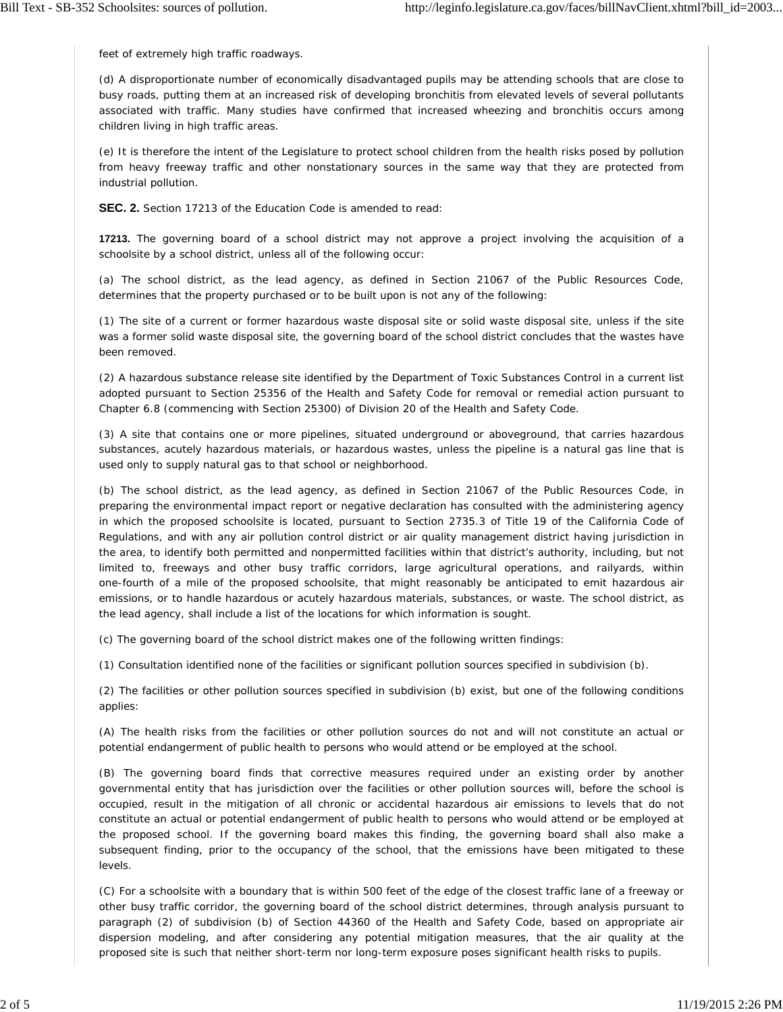feet of extremely high traffic roadways.

(d) A disproportionate number of economically disadvantaged pupils may be attending schools that are close to busy roads, putting them at an increased risk of developing bronchitis from elevated levels of several pollutants associated with traffic. Many studies have confirmed that increased wheezing and bronchitis occurs among children living in high traffic areas.

(e) It is therefore the intent of the Legislature to protect school children from the health risks posed by pollution from heavy freeway traffic and other nonstationary sources in the same way that they are protected from industrial pollution.

**SEC. 2.** Section 17213 of the Education Code is amended to read:

**17213.** The governing board of a school district may not approve a project involving the acquisition of a schoolsite by a school district, unless all of the following occur:

(a) The school district, as the lead agency, as defined in Section 21067 of the Public Resources Code, determines that the property purchased or to be built upon is not any of the following:

(1) The site of a current or former hazardous waste disposal site or solid waste disposal site, unless if the site was a former solid waste disposal site, the governing board of the school district concludes that the wastes have been removed.

(2) A hazardous substance release site identified by the Department of Toxic Substances Control in a current list adopted pursuant to Section 25356 of the Health and Safety Code for removal or remedial action pursuant to Chapter 6.8 (commencing with Section 25300) of Division 20 of the Health and Safety Code.

(3) A site that contains one or more pipelines, situated underground or aboveground, that carries hazardous substances, acutely hazardous materials, or hazardous wastes, unless the pipeline is a natural gas line that is used only to supply natural gas to that school or neighborhood.

(b) The school district, as the lead agency, as defined in Section 21067 of the Public Resources Code, in preparing the environmental impact report or negative declaration has consulted with the administering agency in which the proposed schoolsite is located, pursuant to Section 2735.3 of Title 19 of the California Code of Regulations, and with any air pollution control district or air quality management district having jurisdiction in the area, to identify both permitted and nonpermitted facilities within that district's authority, including, but not limited to, freeways and other busy traffic corridors, large agricultural operations, and railyards, within one-fourth of a mile of the proposed schoolsite, that might reasonably be anticipated to emit hazardous air emissions, or to handle hazardous or acutely hazardous materials, substances, or waste. The school district, as the lead agency, shall include a list of the locations for which information is sought.

(c) The governing board of the school district makes one of the following written findings:

(1) Consultation identified none of the facilities or significant pollution sources specified in subdivision (b).

(2) The facilities or other pollution sources specified in subdivision (b) exist, but one of the following conditions applies:

(A) The health risks from the facilities or other pollution sources do not and will not constitute an actual or potential endangerment of public health to persons who would attend or be employed at the school.

(B) The governing board finds that corrective measures required under an existing order by another governmental entity that has jurisdiction over the facilities or other pollution sources will, before the school is occupied, result in the mitigation of all chronic or accidental hazardous air emissions to levels that do not constitute an actual or potential endangerment of public health to persons who would attend or be employed at the proposed school. If the governing board makes this finding, the governing board shall also make a subsequent finding, prior to the occupancy of the school, that the emissions have been mitigated to these levels.

(C) For a schoolsite with a boundary that is within 500 feet of the edge of the closest traffic lane of a freeway or other busy traffic corridor, the governing board of the school district determines, through analysis pursuant to paragraph (2) of subdivision (b) of Section 44360 of the Health and Safety Code, based on appropriate air dispersion modeling, and after considering any potential mitigation measures, that the air quality at the proposed site is such that neither short-term nor long-term exposure poses significant health risks to pupils.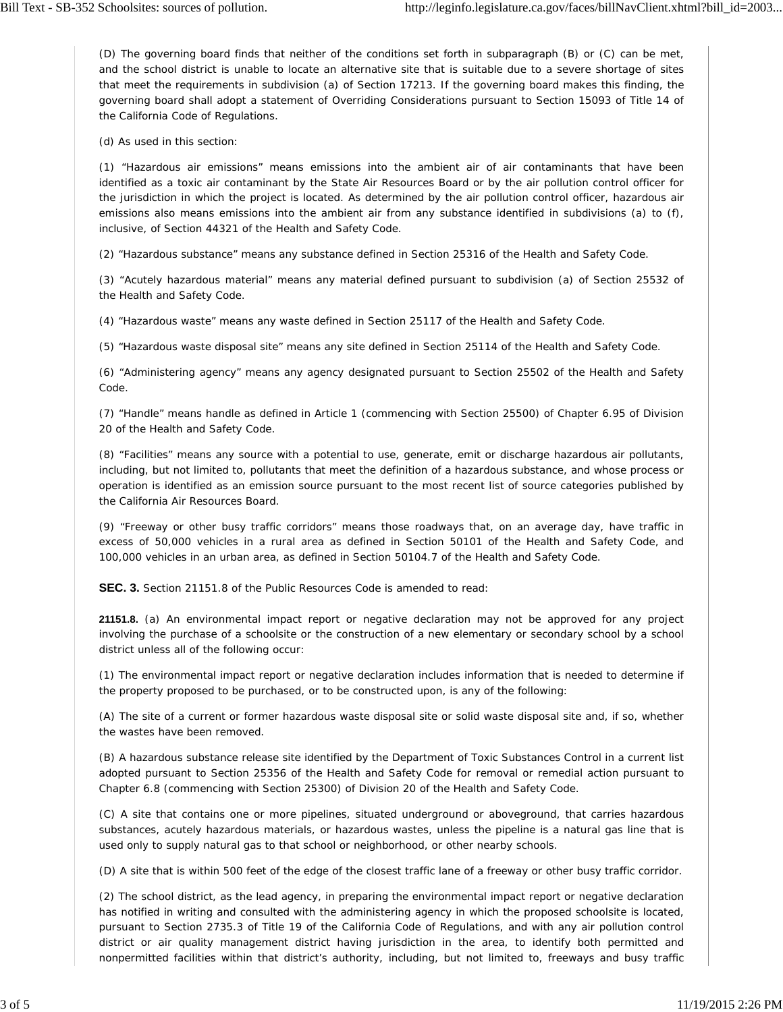(D) The governing board finds that neither of the conditions set forth in subparagraph (B) or (C) can be met, and the school district is unable to locate an alternative site that is suitable due to a severe shortage of sites that meet the requirements in subdivision (a) of Section 17213. If the governing board makes this finding, the governing board shall adopt a statement of Overriding Considerations pursuant to Section 15093 of Title 14 of the California Code of Regulations.

(d) As used in this section:

(1) "Hazardous air emissions" means emissions into the ambient air of air contaminants that have been identified as a toxic air contaminant by the State Air Resources Board or by the air pollution control officer for the jurisdiction in which the project is located. As determined by the air pollution control officer, hazardous air emissions also means emissions into the ambient air from any substance identified in subdivisions (a) to (f), inclusive, of Section 44321 of the Health and Safety Code.

(2) "Hazardous substance" means any substance defined in Section 25316 of the Health and Safety Code.

(3) "Acutely hazardous material" means any material defined pursuant to subdivision (a) of Section 25532 of the Health and Safety Code.

(4) "Hazardous waste" means any waste defined in Section 25117 of the Health and Safety Code.

(5) "Hazardous waste disposal site" means any site defined in Section 25114 of the Health and Safety Code.

(6) "Administering agency" means any agency designated pursuant to Section 25502 of the Health and Safety Code.

(7) "Handle" means handle as defined in Article 1 (commencing with Section 25500) of Chapter 6.95 of Division 20 of the Health and Safety Code.

(8) "Facilities" means any source with a potential to use, generate, emit or discharge hazardous air pollutants, including, but not limited to, pollutants that meet the definition of a hazardous substance, and whose process or operation is identified as an emission source pursuant to the most recent list of source categories published by the California Air Resources Board.

(9) "Freeway or other busy traffic corridors" means those roadways that, on an average day, have traffic in excess of 50,000 vehicles in a rural area as defined in Section 50101 of the Health and Safety Code, and 100,000 vehicles in an urban area, as defined in Section 50104.7 of the Health and Safety Code.

**SEC. 3.** Section 21151.8 of the Public Resources Code is amended to read:

**21151.8.** (a) An environmental impact report or negative declaration may not be approved for any project involving the purchase of a schoolsite or the construction of a new elementary or secondary school by a school district unless all of the following occur:

(1) The environmental impact report or negative declaration includes information that is needed to determine if the property proposed to be purchased, or to be constructed upon, is any of the following:

(A) The site of a current or former hazardous waste disposal site or solid waste disposal site and, if so, whether the wastes have been removed.

(B) A hazardous substance release site identified by the Department of Toxic Substances Control in a current list adopted pursuant to Section 25356 of the Health and Safety Code for removal or remedial action pursuant to Chapter 6.8 (commencing with Section 25300) of Division 20 of the Health and Safety Code.

(C) A site that contains one or more pipelines, situated underground or aboveground, that carries hazardous substances, acutely hazardous materials, or hazardous wastes, unless the pipeline is a natural gas line that is used only to supply natural gas to that school or neighborhood, or other nearby schools.

(D) A site that is within 500 feet of the edge of the closest traffic lane of a freeway or other busy traffic corridor.

(2) The school district, as the lead agency, in preparing the environmental impact report or negative declaration has notified in writing and consulted with the administering agency in which the proposed schoolsite is located, pursuant to Section 2735.3 of Title 19 of the California Code of Regulations, and with any air pollution control district or air quality management district having jurisdiction in the area, to identify both permitted and nonpermitted facilities within that district's authority, including, but not limited to, freeways and busy traffic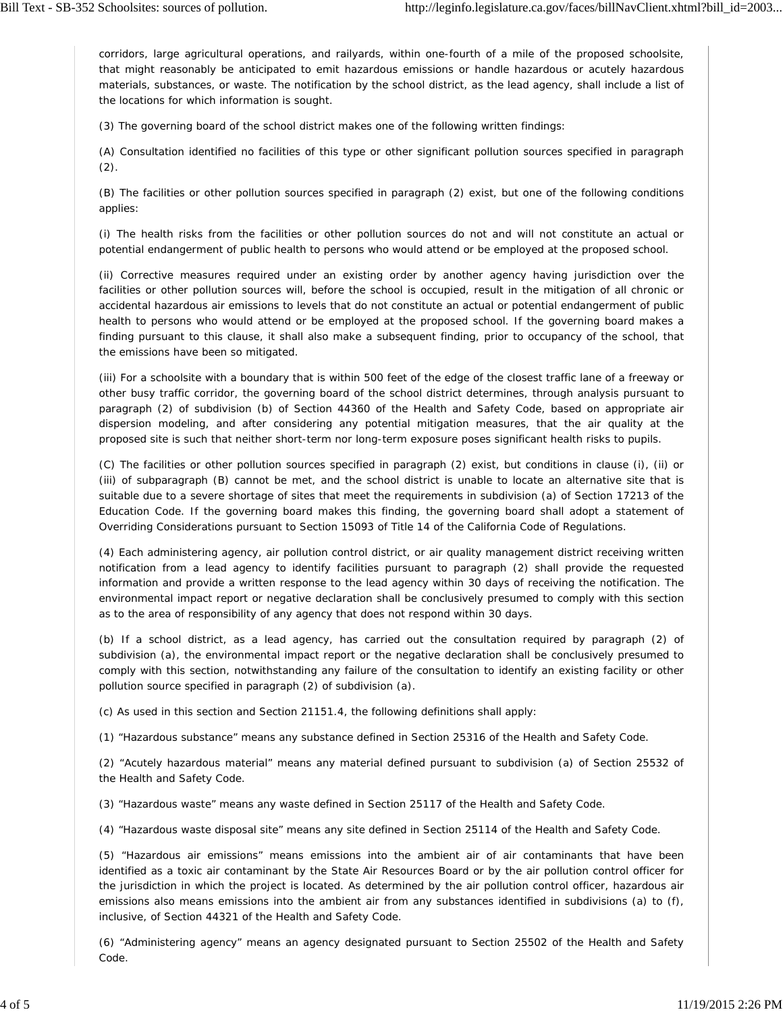corridors, large agricultural operations, and railyards, within one-fourth of a mile of the proposed schoolsite, that might reasonably be anticipated to emit hazardous emissions or handle hazardous or acutely hazardous materials, substances, or waste. The notification by the school district, as the lead agency, shall include a list of the locations for which information is sought.

(3) The governing board of the school district makes one of the following written findings:

(A) Consultation identified no facilities of this type or other significant pollution sources specified in paragraph  $(2).$ 

(B) The facilities or other pollution sources specified in paragraph (2) exist, but one of the following conditions applies:

(i) The health risks from the facilities or other pollution sources do not and will not constitute an actual or potential endangerment of public health to persons who would attend or be employed at the proposed school.

(ii) Corrective measures required under an existing order by another agency having jurisdiction over the facilities or other pollution sources will, before the school is occupied, result in the mitigation of all chronic or accidental hazardous air emissions to levels that do not constitute an actual or potential endangerment of public health to persons who would attend or be employed at the proposed school. If the governing board makes a finding pursuant to this clause, it shall also make a subsequent finding, prior to occupancy of the school, that the emissions have been so mitigated.

(iii) For a schoolsite with a boundary that is within 500 feet of the edge of the closest traffic lane of a freeway or other busy traffic corridor, the governing board of the school district determines, through analysis pursuant to paragraph (2) of subdivision (b) of Section 44360 of the Health and Safety Code, based on appropriate air dispersion modeling, and after considering any potential mitigation measures, that the air quality at the proposed site is such that neither short-term nor long-term exposure poses significant health risks to pupils.

(C) The facilities or other pollution sources specified in paragraph (2) exist, but conditions in clause (i), (ii) or (iii) of subparagraph (B) cannot be met, and the school district is unable to locate an alternative site that is suitable due to a severe shortage of sites that meet the requirements in subdivision (a) of Section 17213 of the Education Code. If the governing board makes this finding, the governing board shall adopt a statement of Overriding Considerations pursuant to Section 15093 of Title 14 of the California Code of Regulations.

(4) Each administering agency, air pollution control district, or air quality management district receiving written notification from a lead agency to identify facilities pursuant to paragraph (2) shall provide the requested information and provide a written response to the lead agency within 30 days of receiving the notification. The environmental impact report or negative declaration shall be conclusively presumed to comply with this section as to the area of responsibility of any agency that does not respond within 30 days.

(b) If a school district, as a lead agency, has carried out the consultation required by paragraph (2) of subdivision (a), the environmental impact report or the negative declaration shall be conclusively presumed to comply with this section, notwithstanding any failure of the consultation to identify an existing facility or other pollution source specified in paragraph (2) of subdivision (a).

(c) As used in this section and Section 21151.4, the following definitions shall apply:

(1) "Hazardous substance" means any substance defined in Section 25316 of the Health and Safety Code.

(2) "Acutely hazardous material" means any material defined pursuant to subdivision (a) of Section 25532 of the Health and Safety Code.

(3) "Hazardous waste" means any waste defined in Section 25117 of the Health and Safety Code.

(4) "Hazardous waste disposal site" means any site defined in Section 25114 of the Health and Safety Code.

(5) "Hazardous air emissions" means emissions into the ambient air of air contaminants that have been identified as a toxic air contaminant by the State Air Resources Board or by the air pollution control officer for the jurisdiction in which the project is located. As determined by the air pollution control officer, hazardous air emissions also means emissions into the ambient air from any substances identified in subdivisions (a) to (f), inclusive, of Section 44321 of the Health and Safety Code.

(6) "Administering agency" means an agency designated pursuant to Section 25502 of the Health and Safety Code.